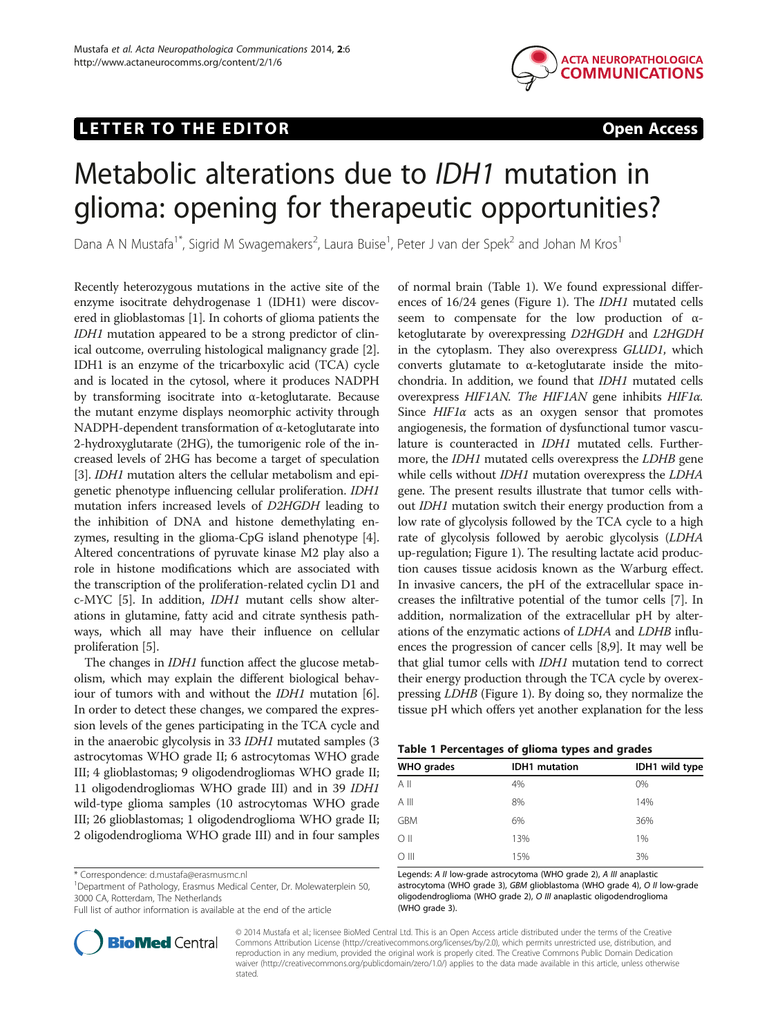## LETTER TO THE EDITOR **EXAMPLE 2018 THE EDITOR**



# Metabolic alterations due to IDH1 mutation in glioma: opening for therapeutic opportunities?

Dana A N Mustafa<sup>1\*</sup>, Sigrid M Swagemakers<sup>2</sup>, Laura Buise<sup>1</sup>, Peter J van der Spek<sup>2</sup> and Johan M Kros<sup>1</sup>

Recently heterozygous mutations in the active site of the enzyme isocitrate dehydrogenase 1 (IDH1) were discovered in glioblastomas [\[1](#page-2-0)]. In cohorts of glioma patients the IDH1 mutation appeared to be a strong predictor of clinical outcome, overruling histological malignancy grade [[2](#page-2-0)]. IDH1 is an enzyme of the tricarboxylic acid (TCA) cycle and is located in the cytosol, where it produces NADPH by transforming isocitrate into α-ketoglutarate. Because the mutant enzyme displays neomorphic activity through NADPH-dependent transformation of α-ketoglutarate into 2-hydroxyglutarate (2HG), the tumorigenic role of the increased levels of 2HG has become a target of speculation [[3\]](#page-2-0). *IDH1* mutation alters the cellular metabolism and epigenetic phenotype influencing cellular proliferation. IDH1 mutation infers increased levels of D2HGDH leading to the inhibition of DNA and histone demethylating enzymes, resulting in the glioma-CpG island phenotype [[4](#page-2-0)]. Altered concentrations of pyruvate kinase M2 play also a role in histone modifications which are associated with the transcription of the proliferation-related cyclin D1 and c-MYC [[5](#page-2-0)]. In addition, IDH1 mutant cells show alterations in glutamine, fatty acid and citrate synthesis pathways, which all may have their influence on cellular proliferation [[5\]](#page-2-0).

The changes in IDH1 function affect the glucose metabolism, which may explain the different biological behaviour of tumors with and without the IDH1 mutation [[6](#page-2-0)]. In order to detect these changes, we compared the expression levels of the genes participating in the TCA cycle and in the anaerobic glycolysis in 33 IDH1 mutated samples (3 astrocytomas WHO grade II; 6 astrocytomas WHO grade III; 4 glioblastomas; 9 oligodendrogliomas WHO grade II; 11 oligodendrogliomas WHO grade III) and in 39 IDH1 wild-type glioma samples (10 astrocytomas WHO grade III; 26 glioblastomas; 1 oligodendroglioma WHO grade II; 2 oligodendroglioma WHO grade III) and in four samples

\* Correspondence: [d.mustafa@erasmusmc.nl](mailto:d.mustafa@erasmusmc.nl) <sup>1</sup>

<sup>1</sup>Department of Pathology, Erasmus Medical Center, Dr. Molewaterplein 50, 3000 CA, Rotterdam, The Netherlands

Full list of author information is available at the end of the article



of normal brain (Table 1). We found expressional differences of 16/24 genes (Figure [1\)](#page-1-0). The IDH1 mutated cells seem to compensate for the low production of αketoglutarate by overexpressing D2HGDH and L2HGDH in the cytoplasm. They also overexpress GLUD1, which converts glutamate to α-ketoglutarate inside the mitochondria. In addition, we found that IDH1 mutated cells overexpress HIF1AN. The HIF1AN gene inhibits HIF1α. Since  $HIF1\alpha$  acts as an oxygen sensor that promotes angiogenesis, the formation of dysfunctional tumor vasculature is counteracted in IDH1 mutated cells. Furthermore, the *IDH1* mutated cells overexpress the *LDHB* gene while cells without *IDH1* mutation overexpress the *LDHA* gene. The present results illustrate that tumor cells without IDH1 mutation switch their energy production from a low rate of glycolysis followed by the TCA cycle to a high rate of glycolysis followed by aerobic glycolysis (LDHA up-regulation; Figure [1](#page-1-0)). The resulting lactate acid production causes tissue acidosis known as the Warburg effect. In invasive cancers, the pH of the extracellular space increases the infiltrative potential of the tumor cells [\[7](#page-2-0)]. In addition, normalization of the extracellular pH by alterations of the enzymatic actions of LDHA and LDHB influences the progression of cancer cells [\[8,9\]](#page-2-0). It may well be that glial tumor cells with IDH1 mutation tend to correct their energy production through the TCA cycle by overexpressing LDHB (Figure [1](#page-1-0)). By doing so, they normalize the tissue pH which offers yet another explanation for the less

| Table 1 Percentages of glioma types and grades |  |  |  |
|------------------------------------------------|--|--|--|
|------------------------------------------------|--|--|--|

| <b>WHO</b> grades | <b>IDH1</b> mutation | IDH1 wild type |  |
|-------------------|----------------------|----------------|--|
| $A$ II            | 4%                   | 0%             |  |
| $A$ III           | 8%                   | 14%            |  |
| <b>GBM</b>        | 6%                   | 36%            |  |
| $\circ$ II        | 13%                  | 1%             |  |
| $\bigcirc$ III    | 15%                  | 3%             |  |

Legends: A II low-grade astrocytoma (WHO grade 2), A III anaplastic astrocytoma (WHO grade 3), GBM glioblastoma (WHO grade 4), O II low-grade oligodendroglioma (WHO grade 2), O III anaplastic oligodendroglioma (WHO grade 3).

© 2014 Mustafa et al.; licensee BioMed Central Ltd. This is an Open Access article distributed under the terms of the Creative Commons Attribution License [\(http://creativecommons.org/licenses/by/2.0\)](http://creativecommons.org/licenses/by/2.0), which permits unrestricted use, distribution, and reproduction in any medium, provided the original work is properly cited. The Creative Commons Public Domain Dedication waiver [\(http://creativecommons.org/publicdomain/zero/1.0/\)](http://creativecommons.org/publicdomain/zero/1.0/) applies to the data made available in this article, unless otherwise stated.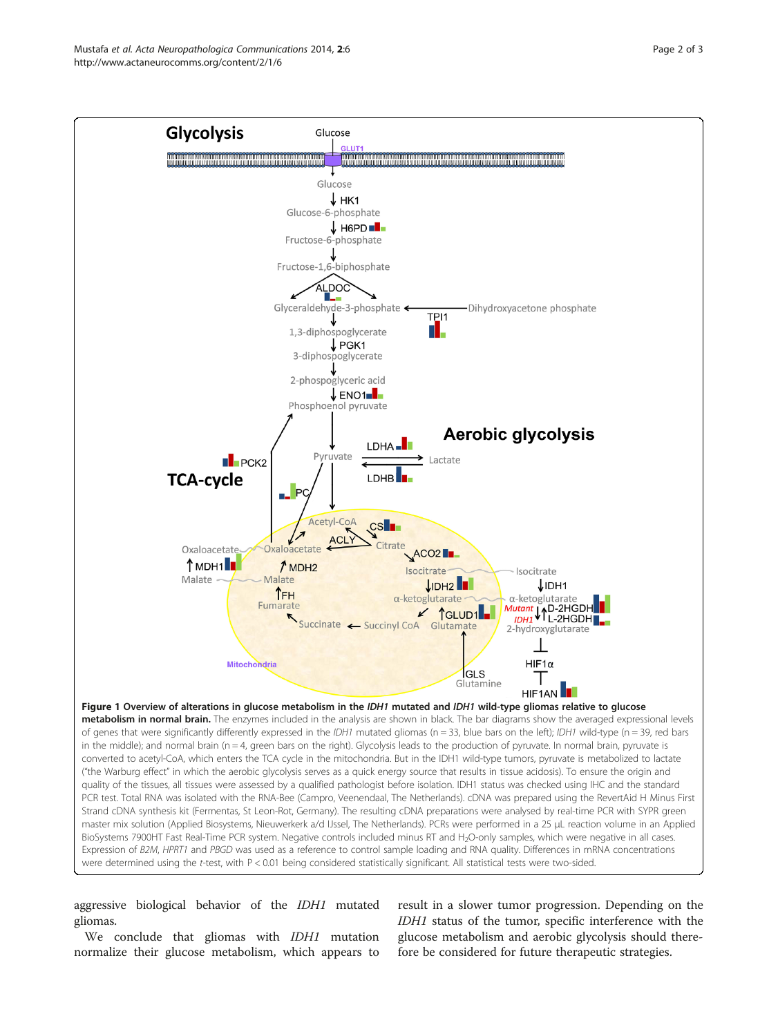<span id="page-1-0"></span>Mustafa et al. Acta Neuropathologica Communications 2014, 2:6 Page 2 of 3 http://www.actaneurocomms.org/content/2/1/6



aggressive biological behavior of the *IDH1* mutated gliomas.

We conclude that gliomas with *IDH1* mutation normalize their glucose metabolism, which appears to

result in a slower tumor progression. Depending on the IDH1 status of the tumor, specific interference with the glucose metabolism and aerobic glycolysis should therefore be considered for future therapeutic strategies.